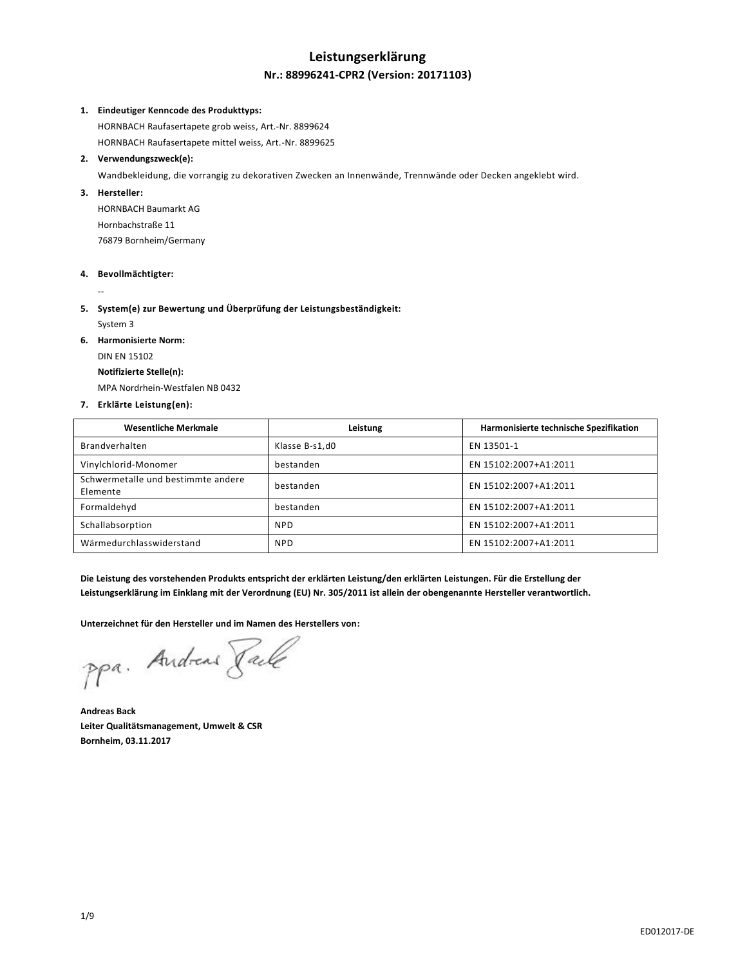# **Leistungserklärung**

## **Nr.: 88996241-CPR2 (Version: 20171103)**

#### **1. Eindeutiger Kenncode des Produkttyps:**

HORNBACH Raufasertapete grob weiss, Art.-Nr. 8899624 HORNBACH Raufasertapete mittel weiss, Art.-Nr. 8899625

#### **2. Verwendungszweck(e):**

Wandbekleidung, die vorrangig zu dekorativen Zwecken an Innenwände, Trennwände oder Decken angeklebt wird.

#### **3. Hersteller:**

HORNBACH Baumarkt AG Hornbachstraße 11 76879 Bornheim/Germany

#### **4. Bevollmächtigter:**

--

#### **5. System(e) zur Bewertung und Überprüfung der Leistungsbeständigkeit:**

System 3

**6. Harmonisierte Norm:**

DIN EN 15102

## **Notifizierte Stelle(n):**

MPA Nordrhein-Westfalen NB 0432

#### **7. Erklärte Leistung(en):**

| <b>Wesentliche Merkmale</b>                    | Leistung       | Harmonisierte technische Spezifikation |
|------------------------------------------------|----------------|----------------------------------------|
| Brandverhalten                                 | Klasse B-s1,d0 | EN 13501-1                             |
| Vinylchlorid-Monomer                           | bestanden      | EN 15102:2007+A1:2011                  |
| Schwermetalle und bestimmte andere<br>Elemente | bestanden      | EN 15102:2007+A1:2011                  |
| Formaldehyd                                    | bestanden      | EN 15102:2007+A1:2011                  |
| Schallabsorption                               | <b>NPD</b>     | EN 15102:2007+A1:2011                  |
| Wärmedurchlasswiderstand                       | <b>NPD</b>     | EN 15102:2007+A1:2011                  |

**Die Leistung des vorstehenden Produkts entspricht der erklärten Leistung/den erklärten Leistungen. Für die Erstellung der Leistungserklärung im Einklang mit der Verordnung (EU) Nr. 305/2011 ist allein der obengenannte Hersteller verantwortlich.**

**Unterzeichnet für den Hersteller und im Namen des Herstellers von:**

ppa. Andreas Rache

**Andreas Back Leiter Qualitätsmanagement, Umwelt & CSR Bornheim, 03.11.2017**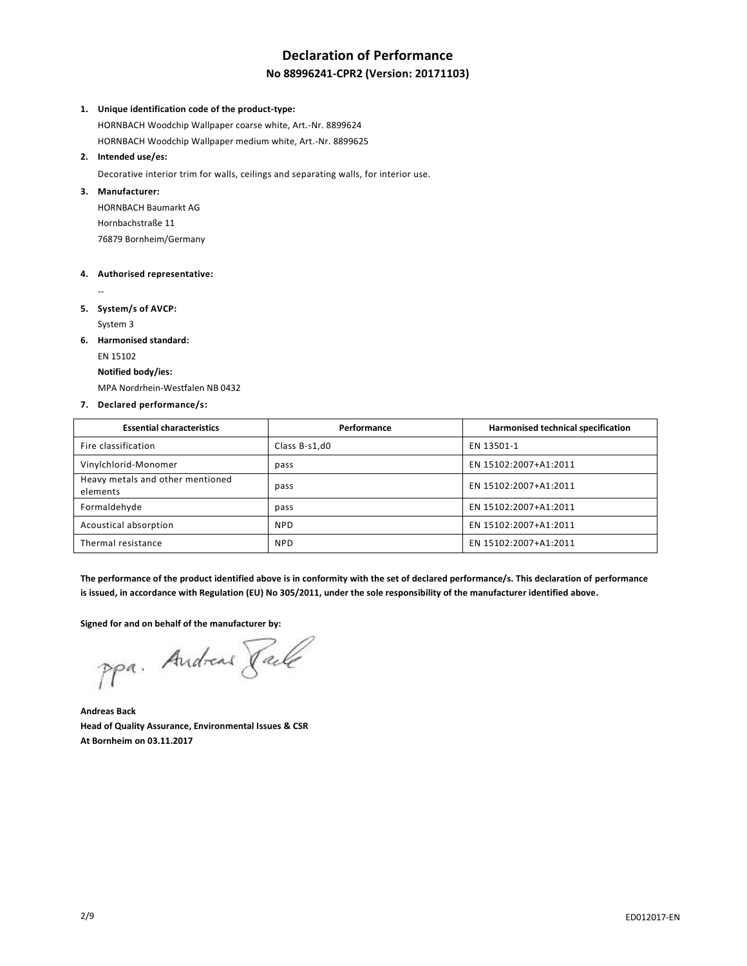# **Declaration of Performance**

## **No 88996241-CPR2 (Version: 20171103)**

#### **1. Unique identification code of the product-type:**

HORNBACH Woodchip Wallpaper coarse white, Art.-Nr. 8899624 HORNBACH Woodchip Wallpaper medium white, Art.-Nr. 8899625

#### **2. Intended use/es:**

Decorative interior trim for walls, ceilings and separating walls, for interior use.

#### **3. Manufacturer:**

HORNBACH Baumarkt AG Hornbachstraße 11 76879 Bornheim/Germany

#### **4. Authorised representative:**

--

- **5. System/s of AVCP:** System 3
- **6. Harmonised standard:**

EN 15102

#### **Notified body/ies:**

MPA Nordrhein-Westfalen NB 0432

#### **7. Declared performance/s:**

| <b>Essential characteristics</b>             | Performance   | Harmonised technical specification |
|----------------------------------------------|---------------|------------------------------------|
| Fire classification                          | Class B-s1,d0 | EN 13501-1                         |
| Vinylchlorid-Monomer                         | pass          | EN 15102:2007+A1:2011              |
| Heavy metals and other mentioned<br>elements | pass          | EN 15102:2007+A1:2011              |
| Formaldehyde                                 | pass          | EN 15102:2007+A1:2011              |
| Acoustical absorption                        | <b>NPD</b>    | EN 15102:2007+A1:2011              |
| Thermal resistance                           | <b>NPD</b>    | EN 15102:2007+A1:2011              |

**The performance of the product identified above is in conformity with the set of declared performance/s. This declaration of performance is issued, in accordance with Regulation (EU) No 305/2011, under the sole responsibility of the manufacturer identified above.**

## **Signed for and on behalf of the manufacturer by:**

ppa. Andreas Rache

**Andreas Back Head of Quality Assurance, Environmental Issues & CSR At Bornheim on 03.11.2017**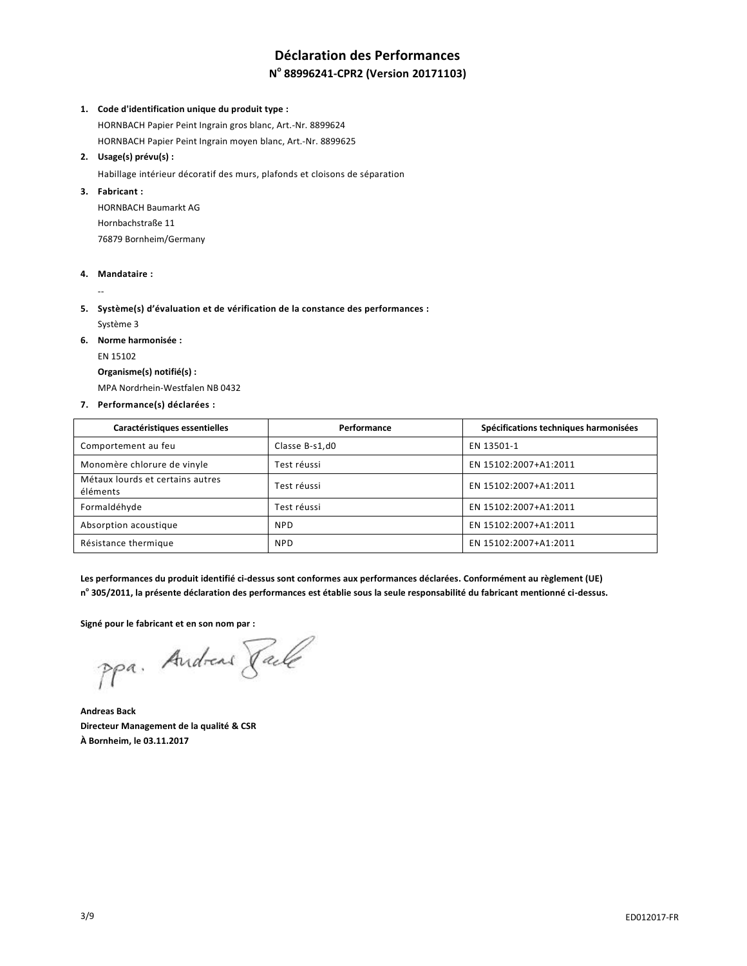# **Déclaration des Performances**

## **N o 88996241-CPR2 (Version 20171103)**

#### **1. Code d'identification unique du produit type :**

HORNBACH Papier Peint Ingrain gros blanc, Art.-Nr. 8899624 HORNBACH Papier Peint Ingrain moyen blanc, Art.-Nr. 8899625

#### **2. Usage(s) prévu(s) :**

Habillage intérieur décoratif des murs, plafonds et cloisons de séparation

## **3. Fabricant :**

HORNBACH Baumarkt AG Hornbachstraße 11 76879 Bornheim/Germany

#### **4. Mandataire :**

--

**5. Système(s) d'évaluation et de vérification de la constance des performances :** Système 3

**6. Norme harmonisée :**

## EN 15102

#### **Organisme(s) notifié(s) :**

MPA Nordrhein-Westfalen NB 0432

**7. Performance(s) déclarées :**

| Caractéristiques essentielles                | Performance    | Spécifications techniques harmonisées |
|----------------------------------------------|----------------|---------------------------------------|
| Comportement au feu                          | Classe B-s1,d0 | EN 13501-1                            |
| Monomère chlorure de vinyle                  | Test réussi    | EN 15102:2007+A1:2011                 |
| Métaux lourds et certains autres<br>éléments | Test réussi    | EN 15102:2007+A1:2011                 |
| Formaldéhyde                                 | Test réussi    | EN 15102:2007+A1:2011                 |
| Absorption acoustique                        | <b>NPD</b>     | EN 15102:2007+A1:2011                 |
| Résistance thermique                         | <b>NPD</b>     | EN 15102:2007+A1:2011                 |

**Les performances du produit identifié ci-dessus sont conformes aux performances déclarées. Conformément au règlement (UE) n o 305/2011, la présente déclaration des performances est établie sous la seule responsabilité du fabricant mentionné ci-dessus.**

**Signé pour le fabricant et en son nom par :**

ppa. Andreas Rache

**Andreas Back Directeur Management de la qualité & CSR À Bornheim, le 03.11.2017**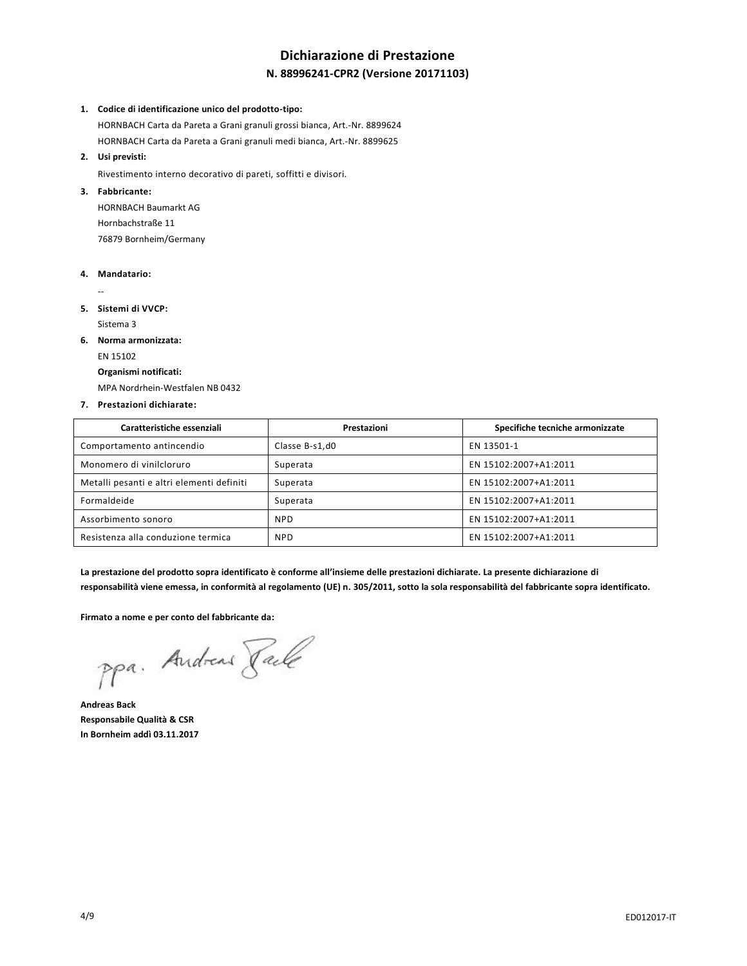# **Dichiarazione di Prestazione**

## **N. 88996241-CPR2 (Versione 20171103)**

#### **1. Codice di identificazione unico del prodotto-tipo:**

HORNBACH Carta da Pareta a Grani granuli grossi bianca, Art.-Nr. 8899624

HORNBACH Carta da Pareta a Grani granuli medi bianca, Art.-Nr. 8899625

**2. Usi previsti:**

Rivestimento interno decorativo di pareti, soffitti e divisori.

## **3. Fabbricante:**

HORNBACH Baumarkt AG Hornbachstraße 11 76879 Bornheim/Germany

#### **4. Mandatario:**

--

**5. Sistemi di VVCP:**

Sistema 3

**6. Norma armonizzata:**

## EN 15102

## **Organismi notificati:**

MPA Nordrhein-Westfalen NB 0432

#### **7. Prestazioni dichiarate:**

| Caratteristiche essenziali                | Prestazioni    | Specifiche tecniche armonizzate |
|-------------------------------------------|----------------|---------------------------------|
| Comportamento antincendio                 | Classe B-s1,d0 | EN 13501-1                      |
| Monomero di vinilcloruro                  | Superata       | EN 15102:2007+A1:2011           |
| Metalli pesanti e altri elementi definiti | Superata       | EN 15102:2007+A1:2011           |
| Formaldeide                               | Superata       | EN 15102:2007+A1:2011           |
| Assorbimento sonoro                       | <b>NPD</b>     | EN 15102:2007+A1:2011           |
| Resistenza alla conduzione termica        | <b>NPD</b>     | EN 15102:2007+A1:2011           |

**La prestazione del prodotto sopra identificato è conforme all'insieme delle prestazioni dichiarate. La presente dichiarazione di responsabilità viene emessa, in conformità al regolamento (UE) n. 305/2011, sotto la sola responsabilità del fabbricante sopra identificato.**

**Firmato a nome e per conto del fabbricante da:**

ppa. Andreas Rache

**Andreas Back Responsabile Qualità & CSR In Bornheim addì 03.11.2017**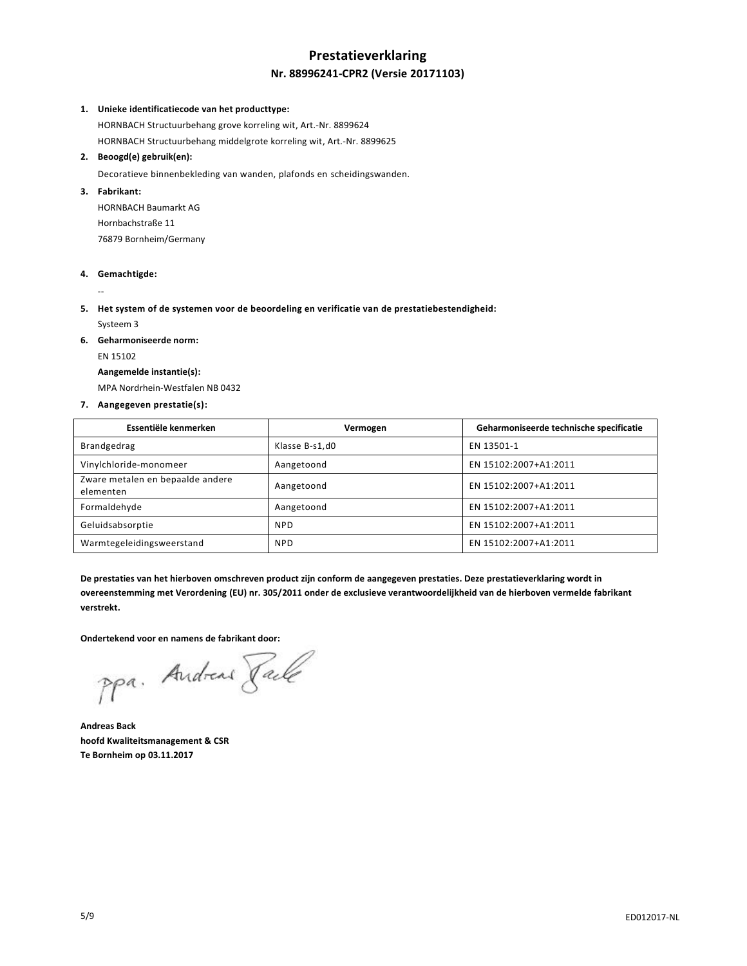# **Prestatieverklaring Nr. 88996241-CPR2 (Versie 20171103)**

#### **1. Unieke identificatiecode van het producttype:**

HORNBACH Structuurbehang grove korreling wit, Art.-Nr. 8899624 HORNBACH Structuurbehang middelgrote korreling wit, Art.-Nr. 8899625

#### **2. Beoogd(e) gebruik(en):**

Decoratieve binnenbekleding van wanden, plafonds en scheidingswanden.

#### **3. Fabrikant:**

HORNBACH Baumarkt AG Hornbachstraße 11 76879 Bornheim/Germany

#### **4. Gemachtigde:**

--

**5. Het system of de systemen voor de beoordeling en verificatie van de prestatiebestendigheid:**

Systeem 3

**6. Geharmoniseerde norm:**

EN 15102

**Aangemelde instantie(s):**

MPA Nordrhein-Westfalen NB 0432

**7. Aangegeven prestatie(s):**

| Essentiële kenmerken                          | Vermogen       | Geharmoniseerde technische specificatie |
|-----------------------------------------------|----------------|-----------------------------------------|
| Brandgedrag                                   | Klasse B-s1,d0 | EN 13501-1                              |
| Vinylchloride-monomeer                        | Aangetoond     | EN 15102:2007+A1:2011                   |
| Zware metalen en bepaalde andere<br>elementen | Aangetoond     | EN 15102:2007+A1:2011                   |
| Formaldehyde                                  | Aangetoond     | EN 15102:2007+A1:2011                   |
| Geluidsabsorptie                              | <b>NPD</b>     | EN 15102:2007+A1:2011                   |
| Warmtegeleidingsweerstand                     | <b>NPD</b>     | EN 15102:2007+A1:2011                   |

**De prestaties van het hierboven omschreven product zijn conform de aangegeven prestaties. Deze prestatieverklaring wordt in overeenstemming met Verordening (EU) nr. 305/2011 onder de exclusieve verantwoordelijkheid van de hierboven vermelde fabrikant verstrekt.**

**Ondertekend voor en namens de fabrikant door:**

ppa. Andreas Rache

**Andreas Back hoofd Kwaliteitsmanagement & CSR Te Bornheim op 03.11.2017**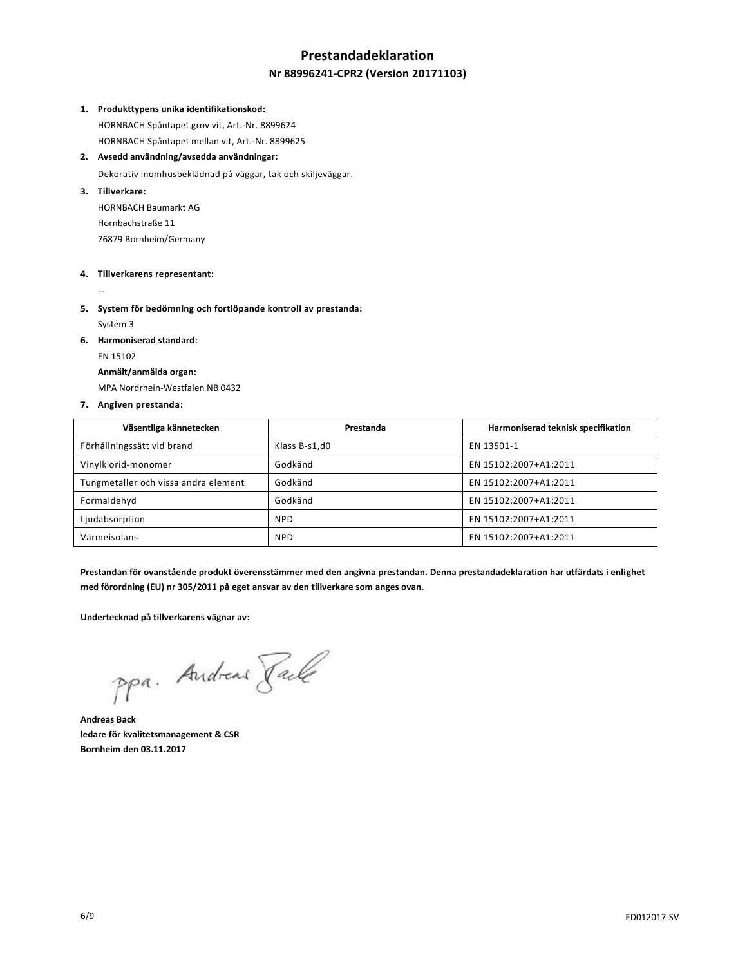# **Prestandadeklaration**

## **Nr 88996241-CPR2 (Version 20171103)**

#### **1. Produkttypens unika identifikationskod:**

HORNBACH Spåntapet grov vit, Art.-Nr. 8899624 HORNBACH Spåntapet mellan vit, Art.-Nr. 8899625

## **2. Avsedd användning/avsedda användningar:**

Dekorativ inomhusbeklädnad på väggar, tak och skiljeväggar.

## **3. Tillverkare:**

HORNBACH Baumarkt AG Hornbachstraße 11 76879 Bornheim/Germany

#### **4. Tillverkarens representant:**

--

**5. System för bedömning och fortlöpande kontroll av prestanda:** System 3

**6. Harmoniserad standard:**

## EN 15102

#### **Anmält/anmälda organ:**

MPA Nordrhein-Westfalen NB 0432

#### **7. Angiven prestanda:**

| Väsentliga kännetecken               | Prestanda     | Harmoniserad teknisk specifikation |
|--------------------------------------|---------------|------------------------------------|
| Förhållningssätt vid brand           | Klass B-s1,d0 | EN 13501-1                         |
| Vinylklorid-monomer                  | Godkänd       | EN 15102:2007+A1:2011              |
| Tungmetaller och vissa andra element | Godkänd       | EN 15102:2007+A1:2011              |
| Formaldehyd                          | Godkänd       | EN 15102:2007+A1:2011              |
| Ljudabsorption                       | <b>NPD</b>    | EN 15102:2007+A1:2011              |
| Värmeisolans                         | <b>NPD</b>    | EN 15102:2007+A1:2011              |

**Prestandan för ovanstående produkt överensstämmer med den angivna prestandan. Denna prestandadeklaration har utfärdats i enlighet med förordning (EU) nr 305/2011 på eget ansvar av den tillverkare som anges ovan.**

**Undertecknad på tillverkarens vägnar av:**

ppa. Andreas Rache

**Andreas Back ledare för kvalitetsmanagement & CSR Bornheim den 03.11.2017**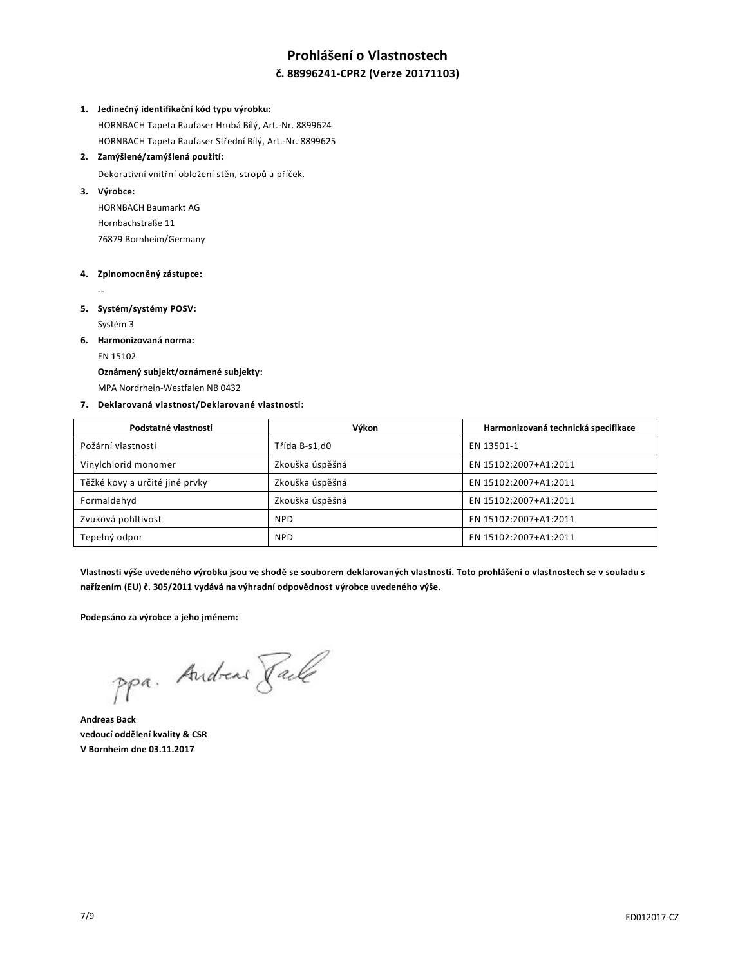# **Prohlášení o Vlastnostech**

## **č. 88996241-CPR2 (Verze 20171103)**

#### **1. Jedinečný identifikační kód typu výrobku:**

HORNBACH Tapeta Raufaser Hrubá Bílý, Art.-Nr. 8899624 HORNBACH Tapeta Raufaser Střední Bílý, Art.-Nr. 8899625

#### **2. Zamýšlené/zamýšlená použití:**

Dekorativní vnitřní obložení stěn, stropů a příček.

#### **3. Výrobce:**

HORNBACH Baumarkt AG Hornbachstraße 11 76879 Bornheim/Germany

#### **4. Zplnomocněný zástupce:**

--

**5. Systém/systémy POSV:**

Systém 3

**6. Harmonizovaná norma:**

EN 15102

## **Oznámený subjekt/oznámené subjekty:**

MPA Nordrhein-Westfalen NB 0432

#### **7. Deklarovaná vlastnost/Deklarované vlastnosti:**

| Podstatné vlastnosti           | Výkon           | Harmonizovaná technická specifikace |
|--------------------------------|-----------------|-------------------------------------|
| Požární vlastnosti             | Třída B-s1,d0   | EN 13501-1                          |
| Vinylchlorid monomer           | Zkouška úspěšná | EN 15102:2007+A1:2011               |
| Těžké kovy a určité jiné prvky | Zkouška úspěšná | EN 15102:2007+A1:2011               |
| Formaldehyd                    | Zkouška úspěšná | EN 15102:2007+A1:2011               |
| Zvuková pohltivost             | <b>NPD</b>      | EN 15102:2007+A1:2011               |
| Tepelný odpor                  | <b>NPD</b>      | EN 15102:2007+A1:2011               |

**Vlastnosti výše uvedeného výrobku jsou ve shodě se souborem deklarovaných vlastností. Toto prohlášení o vlastnostech se v souladu s nařízením (EU) č. 305/2011 vydává na výhradní odpovědnost výrobce uvedeného výše.**

**Podepsáno za výrobce a jeho jménem:**

ppa. Andreas Pale

**Andreas Back vedoucí oddělení kvality & CSR V Bornheim dne 03.11.2017**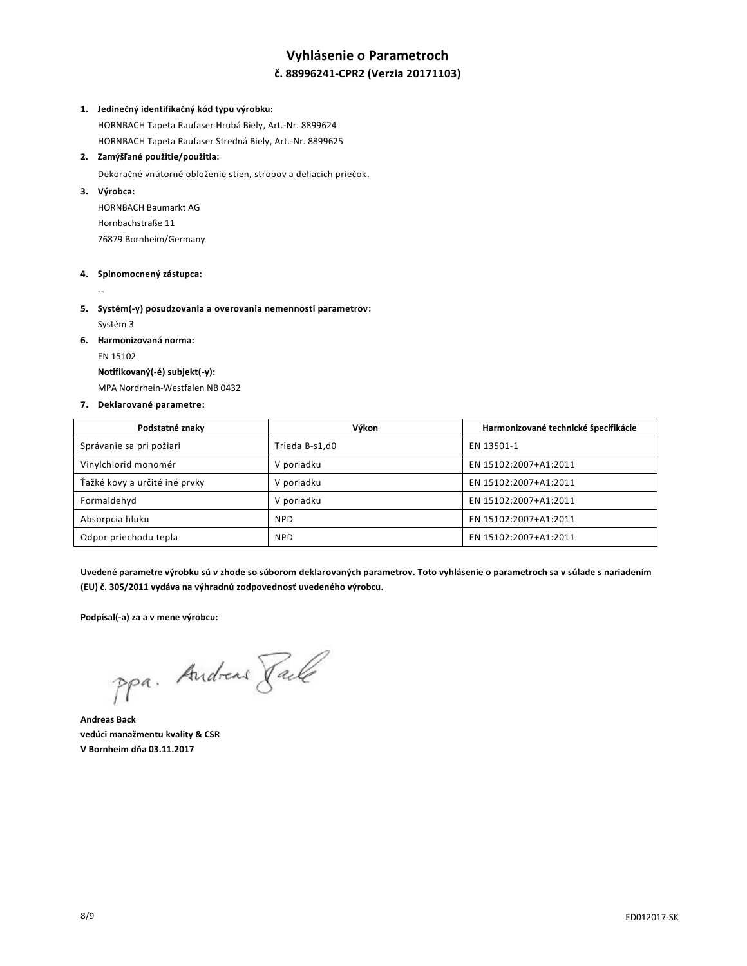# **Vyhlásenie o Parametroch**

## **č. 88996241-CPR2 (Verzia 20171103)**

#### **1. Jedinečný identifikačný kód typu výrobku:**

HORNBACH Tapeta Raufaser Hrubá Biely, Art.-Nr. 8899624 HORNBACH Tapeta Raufaser Stredná Biely, Art.-Nr. 8899625

#### **2. Zamýšľané použitie/použitia:**

Dekoračné vnútorné obloženie stien, stropov a deliacich priečok.

#### **3. Výrobca:**

HORNBACH Baumarkt AG Hornbachstraße 11 76879 Bornheim/Germany

#### **4. Splnomocnený zástupca:**

--

- **5. Systém(-y) posudzovania a overovania nemennosti parametrov:** Systém 3
- **6. Harmonizovaná norma:**

EN 15102

**Notifikovaný(-é) subjekt(-y):**

MPA Nordrhein-Westfalen NB 0432

#### **7. Deklarované parametre:**

| Podstatné znaky               | Výkon          | Harmonizované technické špecifikácie |
|-------------------------------|----------------|--------------------------------------|
| Správanie sa pri požiari      | Trieda B-s1,d0 | EN 13501-1                           |
| Vinylchlorid monomér          | V poriadku     | EN 15102:2007+A1:2011                |
| Ťažké kovy a určité iné prvky | V poriadku     | EN 15102:2007+A1:2011                |
| Formaldehyd                   | V poriadku     | EN 15102:2007+A1:2011                |
| Absorpcia hluku               | <b>NPD</b>     | EN 15102:2007+A1:2011                |
| Odpor priechodu tepla         | <b>NPD</b>     | EN 15102:2007+A1:2011                |

**Uvedené parametre výrobku sú v zhode so súborom deklarovaných parametrov. Toto vyhlásenie o parametroch sa v súlade s nariadením (EU) č. 305/2011 vydáva na výhradnú zodpovednosť uvedeného výrobcu.**

**Podpísal(-a) za a v mene výrobcu:**

ppa. Andreas Pale

**Andreas Back vedúci manažmentu kvality & CSR V Bornheim dňa 03.11.2017**